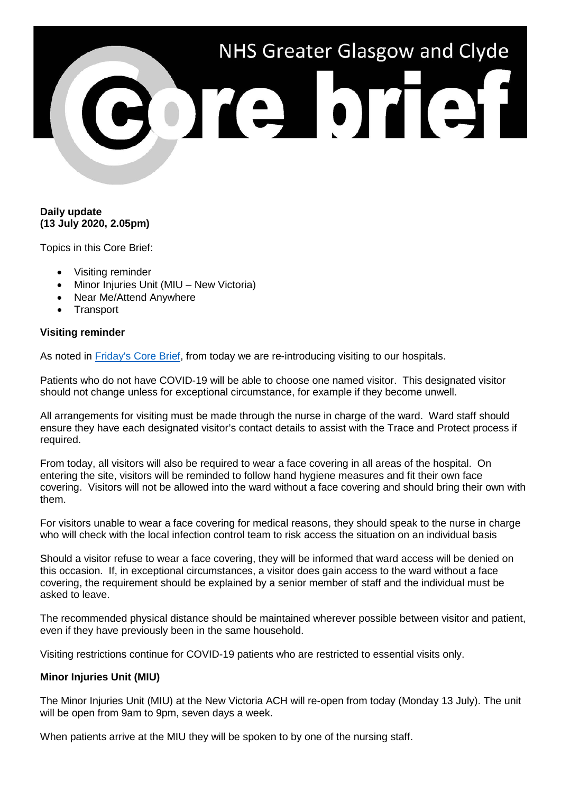# NHS Greater Glasgow and Clyde POTE DTET

# **Daily update (13 July 2020, 2.05pm)**

Topics in this Core Brief:

- Visiting reminder
- Minor Injuries Unit (MIU New Victoria)
- Near Me/Attend Anywhere
- **Transport**

# **Visiting reminder**

As noted in [Friday's Core Brief,](https://www.nhsggc.org.uk/media/261759/159-core-brief-10-july-2020-daily-update-635pm.pdf) from today we are re-introducing visiting to our hospitals.

Patients who do not have COVID-19 will be able to choose one named visitor. This designated visitor should not change unless for exceptional circumstance, for example if they become unwell.

All arrangements for visiting must be made through the nurse in charge of the ward. Ward staff should ensure they have each designated visitor's contact details to assist with the Trace and Protect process if required.

From today, all visitors will also be required to wear a face covering in all areas of the hospital. On entering the site, visitors will be reminded to follow hand hygiene measures and fit their own face covering. Visitors will not be allowed into the ward without a face covering and should bring their own with them.

For visitors unable to wear a face covering for medical reasons, they should speak to the nurse in charge who will check with the local infection control team to risk access the situation on an individual basis

Should a visitor refuse to wear a face covering, they will be informed that ward access will be denied on this occasion. If, in exceptional circumstances, a visitor does gain access to the ward without a face covering, the requirement should be explained by a senior member of staff and the individual must be asked to leave.

The recommended physical distance should be maintained wherever possible between visitor and patient, even if they have previously been in the same household.

Visiting restrictions continue for COVID-19 patients who are restricted to essential visits only.

## **Minor Injuries Unit (MIU)**

The Minor Injuries Unit (MIU) at the New Victoria ACH will re-open from today (Monday 13 July). The unit will be open from 9am to 9pm, seven days a week.

When patients arrive at the MIU they will be spoken to by one of the nursing staff.